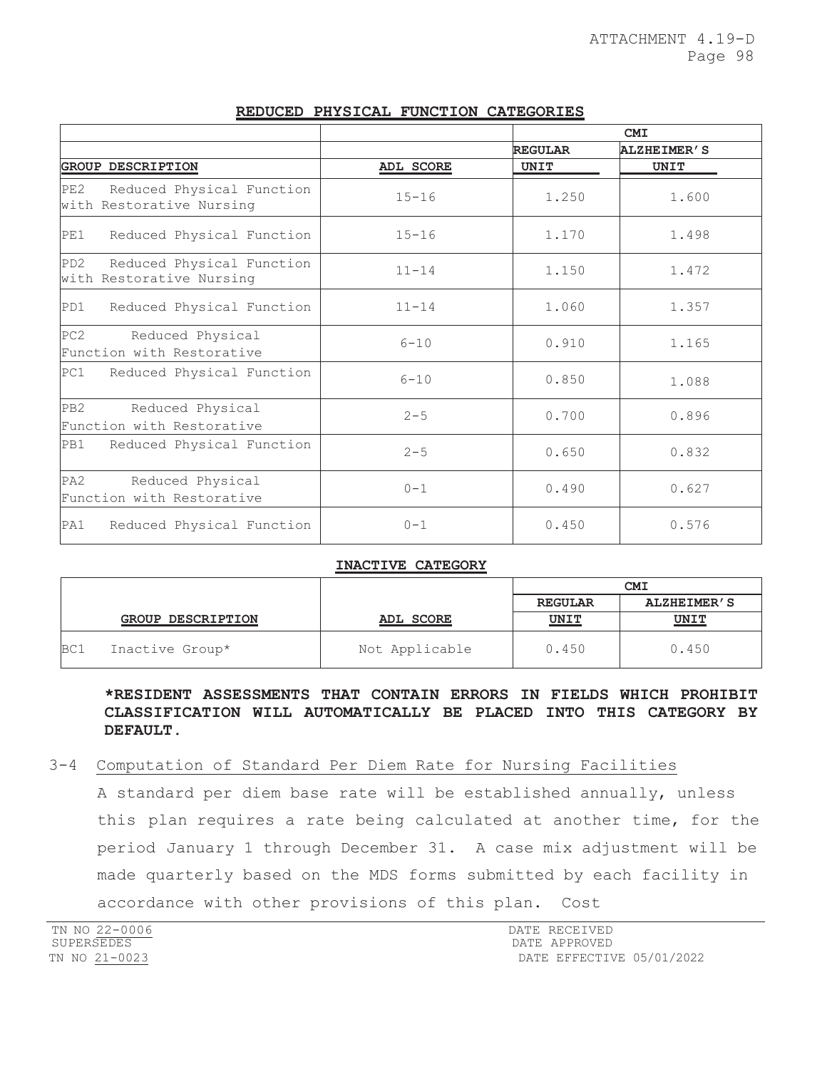|                                                                  |           | <b>CMI</b>     |                    |
|------------------------------------------------------------------|-----------|----------------|--------------------|
|                                                                  |           | <b>REGULAR</b> | <b>ALZHEIMER'S</b> |
| <b>GROUP DESCRIPTION</b>                                         | ADL SCORE | UNIT           | UNIT               |
| PE2<br>Reduced Physical Function<br>with Restorative Nursing     | $15 - 16$ | 1.250          | 1.600              |
| PE1<br>Reduced Physical Function                                 | $15 - 16$ | 1.170          | 1.498              |
| PD2<br>Reduced Physical Function<br>with Restorative Nursing     | $11 - 14$ | 1.150          | 1.472              |
| PD1<br>Reduced Physical Function                                 | $11 - 14$ | 1.060          | 1.357              |
| PC2<br>Reduced Physical<br>Function with Restorative             | $6 - 10$  | 0.910          | 1.165              |
| PC1<br>Reduced Physical Function                                 | $6 - 10$  | 0.850          | 1.088              |
| PB <sub>2</sub><br>Reduced Physical<br>Function with Restorative | $2 - 5$   | 0.700          | 0.896              |
| PB1<br>Reduced Physical Function                                 | $2 - 5$   | 0.650          | 0.832              |
| PA <sub>2</sub><br>Reduced Physical<br>Function with Restorative | $0 - 1$   | 0.490          | 0.627              |
| PA1<br>Reduced Physical Function                                 | $0 - 1$   | 0.450          | 0.576              |

# **REDUCED PHYSICAL FUNCTION CATEGORIES**

#### **INACTIVE CATEGORY**

|     |                          |                | <b>CMI</b>     |                    |
|-----|--------------------------|----------------|----------------|--------------------|
|     |                          |                | <b>REGULAR</b> | <b>ALZHEIMER'S</b> |
|     | <b>GROUP DESCRIPTION</b> | ADL SCORE      | <b>UNIT</b>    | <u>UNIT</u>        |
| BC1 | Inactive Group*          | Not Applicable | 0.450          | 0.450              |

# **\*RESIDENT ASSESSMENTS THAT CONTAIN ERRORS IN FIELDS WHICH PROHIBIT CLASSIFICATION WILL AUTOMATICALLY BE PLACED INTO THIS CATEGORY BY DEFAULT.**

# 3-4 Computation of Standard Per Diem Rate for Nursing Facilities

A standard per diem base rate will be established annually, unless this plan requires a rate being calculated at another time, for the period January 1 through December 31. A case mix adjustment will be made quarterly based on the MDS forms submitted by each facility in accordance with other provisions of this plan. Cost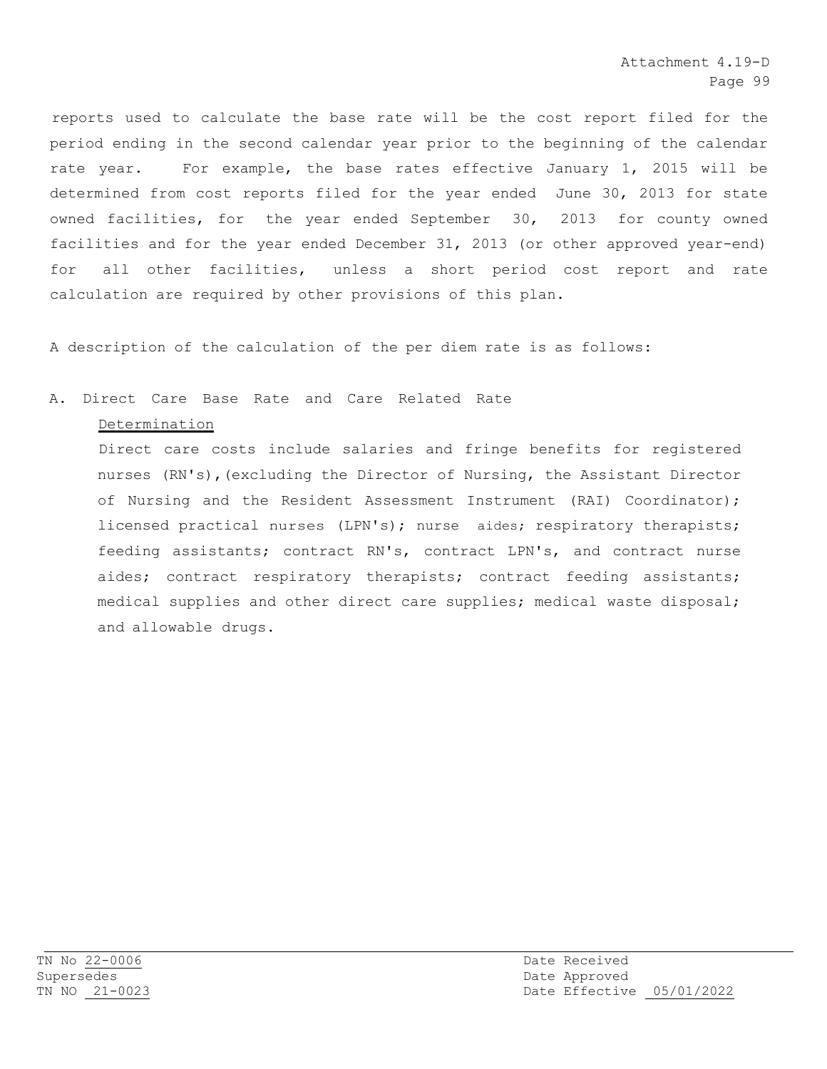reports used to calculate the base rate will be the cost report filed for the period ending in the second calendar year prior to the beginning of the calendar rate year. For example, the base rates effective January 1, 2015 will be determined from cost reports filed for the year ended June 30, 2013 for state owned facilities, for the year ended September 30, 2013 for county owned facilities and for the year ended December 31, 2013 (or other approved year-end) for all other facilities, unless a short period cost report and rate calculation are required by other provisions of this plan.

A description of the calculation of the per diem rate is as follows:

# A. Direct Care Base Rate and Care Related Rate

#### Determination

Direct care costs include salaries and fringe benefits for registered nurses (RN's),(excluding the Director of Nursing, the Assistant Director of Nursing and the Resident Assessment Instrument (RAI) Coordinator); licensed practical nurses (LPN's); nurse aides; respiratory therapists; feeding assistants; contract RN's, contract LPN's, and contract nurse aides; contract respiratory therapists; contract feeding assistants; medical supplies and other direct care supplies; medical waste disposal; and allowable drugs.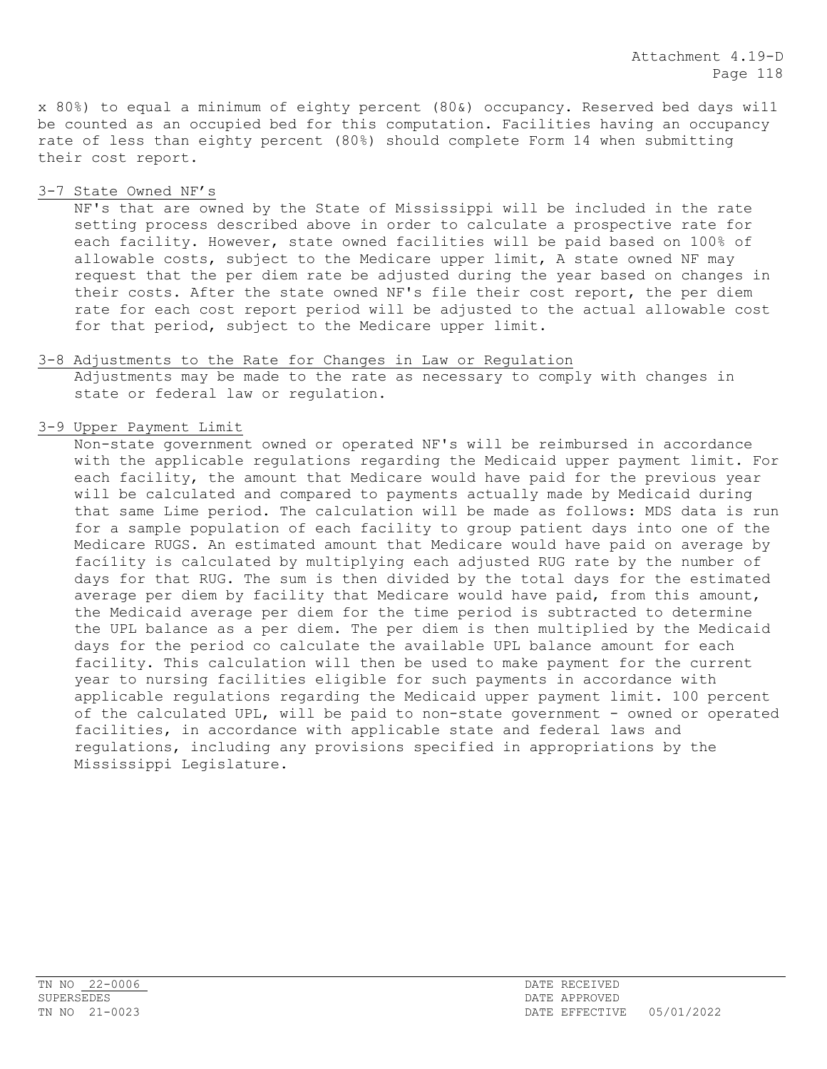x 80%) to equal a minimum of eighty percent (80&) occupancy. Reserved bed days wi11 be counted as an occupied bed for this computation. Facilities having an occupancy rate of less than eighty percent (80%) should complete Form 14 when submitting their cost report.

3-7 State Owned NF's

NF's that are owned by the State of Mississippi will be included in the rate setting process described above in order to calculate a prospective rate for each facility. However, state owned facilities will be paid based on 100% of allowable costs, subject to the Medicare upper limit, A state owned NF may request that the per diem rate be adjusted during the year based on changes in their costs. After the state owned NF's file their cost report, the per diem rate for each cost report period will be adjusted to the actual allowable cost for that period, subject to the Medicare upper limit.

- 3-8 Adjustments to the Rate for Changes in Law or Regulation Adjustments may be made to the rate as necessary to comply with changes in state or federal law or regulation.
- 3-9 Upper Payment Limit

Non-state government owned or operated NF's will be reimbursed in accordance with the applicable regulations regarding the Medicaid upper payment limit. For each facility, the amount that Medicare would have paid for the previous year will be calculated and compared to payments actually made by Medicaid during that same Lime period. The calculation will be made as follows: MDS data is run for a sample population of each facility to group patient days into one of the Medicare RUGS. An estimated amount that Medicare would have paid on average by fací1ity is calculated by multiplying each adjusted RUG rate by the number of days for that RUG. The sum is then divided by the total days for the estimated average per diem by facility that Medicare would have paid, from this amount, the Medicaid average per diem for the time period is subtracted to determine the UPL balance as a per diem. The per diem is then multiplied by the Medicaid days for the period co calculate the available UPL balance amount for each facility. This calculation will then be used to make payment for the current year to nursing facilities eligible for such payments in accordance with applicable regulations regarding the Medicaid upper payment limit. 100 percent of the calculated UPL, will be paid to non-state government - owned or operated facilities, in accordance with applicable state and federal laws and regulations, including any provisions specified in appropriations by the Mississippi Legislature.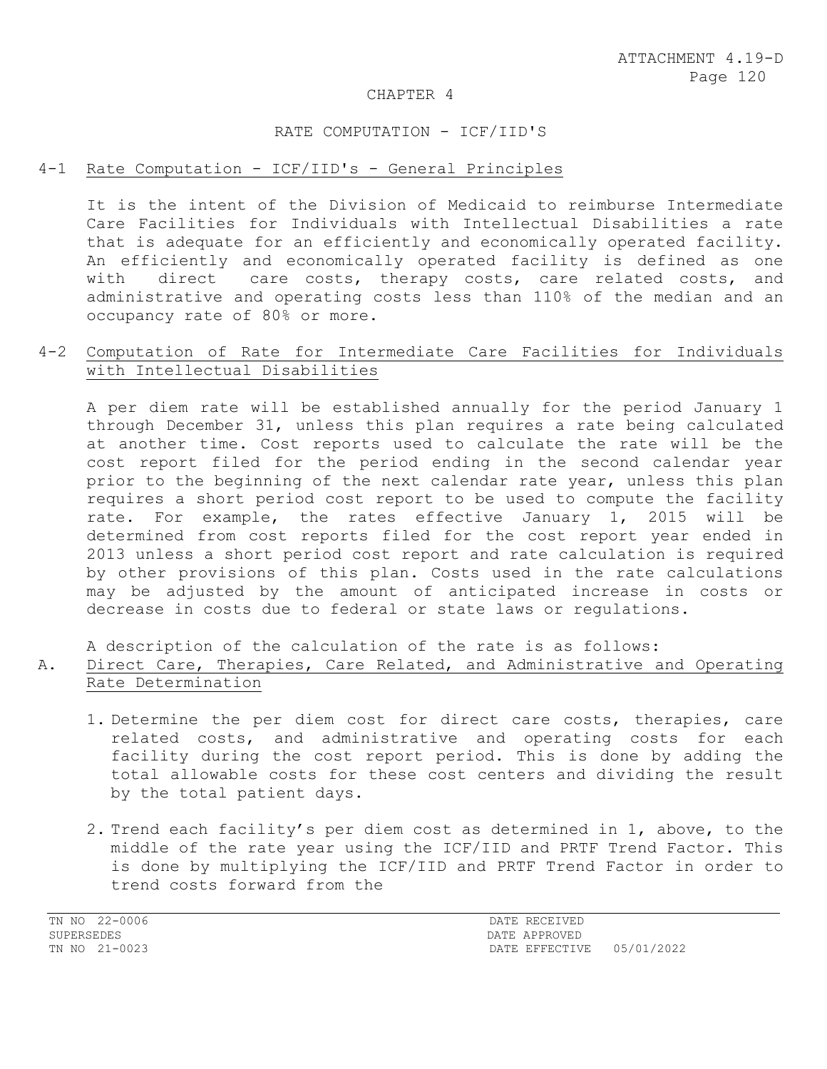#### CHAPTER 4

#### RATE COMPUTATION - ICF/IID'S

#### 4-1 Rate Computation - ICF/IID's - General Principles

It is the intent of the Division of Medicaid to reimburse Intermediate Care Facilities for Individuals with Intellectual Disabilities a rate that is adequate for an efficiently and economically operated facility. An efficiently and economically operated facility is defined as one<br>with direct care costs, therapy costs, care related costs, and direct care costs, therapy costs, care related costs, and administrative and operating costs less than 110% of the median and an occupancy rate of 80% or more.

# 4-2 Computation of Rate for Intermediate Care Facilities for Individuals with Intellectual Disabilities

A per diem rate will be established annually for the period January 1 through December 31, unless this plan requires a rate being calculated at another time. Cost reports used to calculate the rate will be the cost report filed for the period ending in the second calendar year prior to the beginning of the next calendar rate year, unless this plan requires a short period cost report to be used to compute the facility rate. For example, the rates effective January 1, 2015 will be determined from cost reports filed for the cost report year ended in 2013 unless a short period cost report and rate calculation is required by other provisions of this plan. Costs used in the rate calculations may be adjusted by the amount of anticipated increase in costs or decrease in costs due to federal or state laws or regulations.

A description of the calculation of the rate is as follows:

# A. Direct Care, Therapies, Care Related, and Administrative and Operating Rate Determination

- 1. Determine the per diem cost for direct care costs, therapies, care related costs, and administrative and operating costs for each facility during the cost report period. This is done by adding the total allowable costs for these cost centers and dividing the result by the total patient days.
- 2. Trend each facility's per diem cost as determined in 1, above, to the middle of the rate year using the ICF/IID and PRTF Trend Factor. This is done by multiplying the ICF/IID and PRTF Trend Factor in order to trend costs forward from the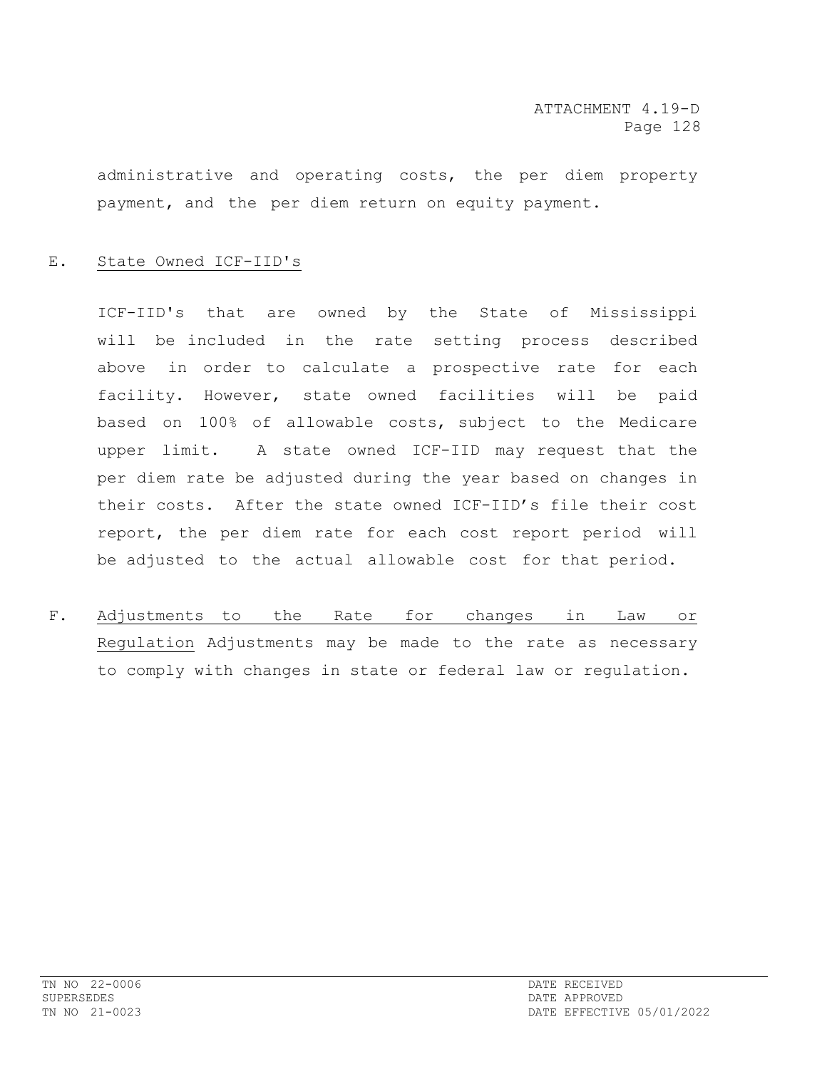administrative and operating costs, the per diem property payment, and the per diem return on equity payment.

# E. State Owned ICF-IID's

ICF-IID's that are owned by the State of Mississippi will be included in the rate setting process described above in order to calculate a prospective rate for each facility. However, state owned facilities will be paid based on 100% of allowable costs, subject to the Medicare upper limit. A state owned ICF-IID may request that the per diem rate be adjusted during the year based on changes in their costs. After the state owned ICF-IID's file their cost report, the per diem rate for each cost report period will be adjusted to the actual allowable cost for that period.

F. Adjustments to the Rate for changes in Law or Regulation Adjustments may be made to the rate as necessary to comply with changes in state or federal law or regulation.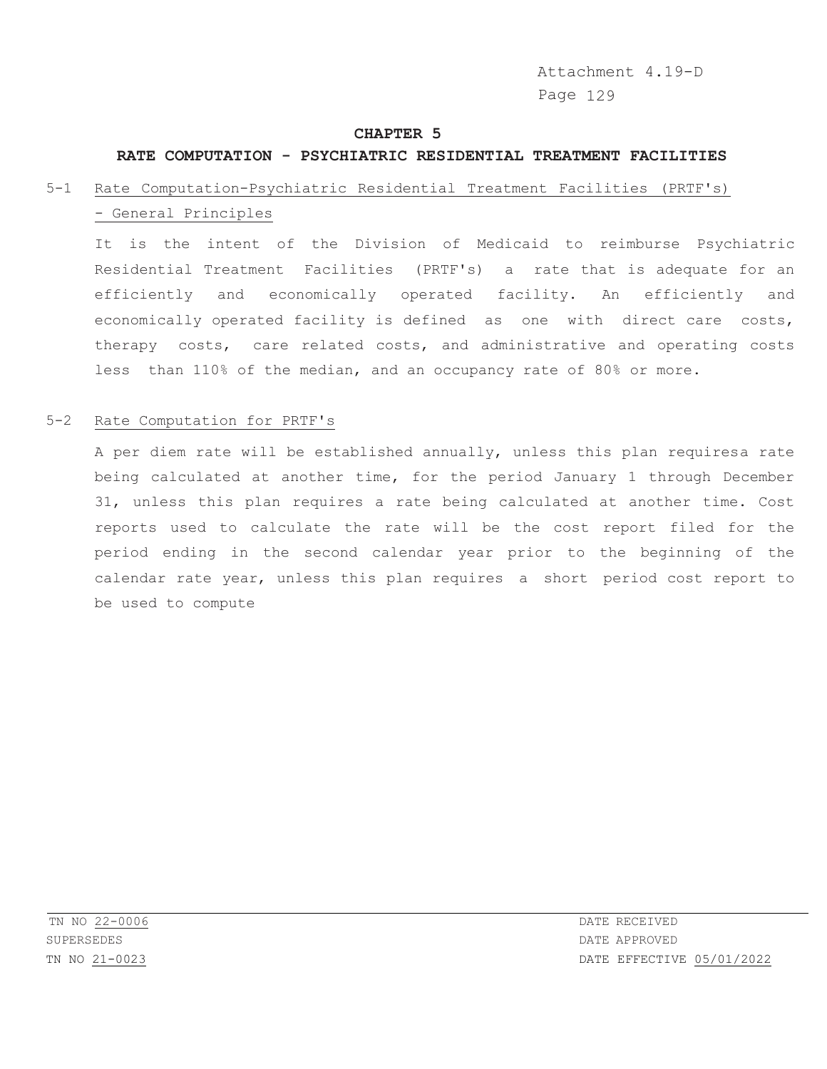Attachment 4.19-D Page 129

#### **CHAPTER 5**

# **RATE COMPUTATION - PSYCHIATRIC RESIDENTIAL TREATMENT FACILITIES**

# 5-1 Rate Computation-Psychiatric Residential Treatment Facilities (PRTF's) - General Principles

It is the intent of the Division of Medicaid to reimburse Psychiatric Residential Treatment Facilities (PRTF's) a rate that is adequate for an efficiently and economically operated facility. An efficiently and economically operated facility is defined as one with direct care costs, therapy costs, care related costs, and administrative and operating costs less than 110% of the median, and an occupancy rate of 80% or more.

# 5-2 Rate Computation for PRTF's

A per diem rate will be established annually, unless this plan requiresa rate being calculated at another time, for the period January 1 through December 31, unless this plan requires a rate being calculated at another time. Cost reports used to calculate the rate will be the cost report filed for the period ending in the second calendar year prior to the beginning of the calendar rate year, unless this plan requires a short period cost report to be used to compute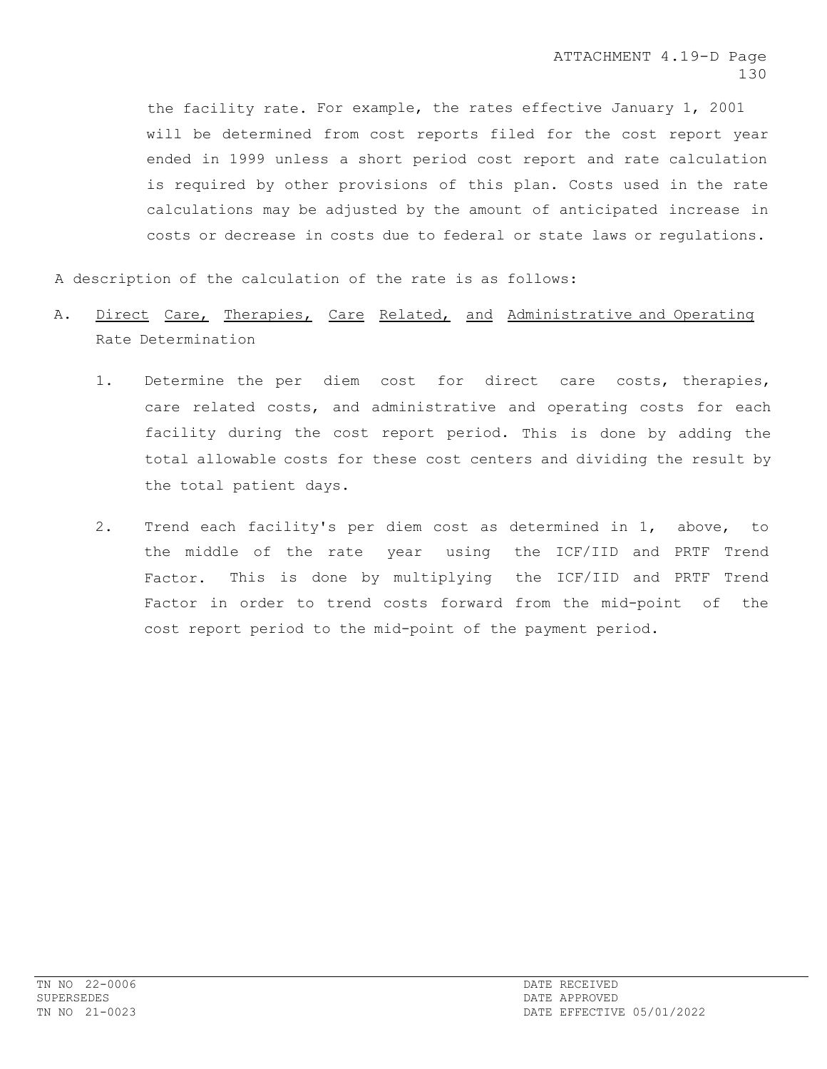the facility rate. For example, the rates effective January 1, 2001 will be determined from cost reports filed for the cost report year ended in 1999 unless a short period cost report and rate calculation is required by other provisions of this plan. Costs used in the rate calculations may be adjusted by the amount of anticipated increase in costs or decrease in costs due to federal or state laws or regulations.

A description of the calculation of the rate is as follows:

- A. Direct Care, Therapies, Care Related, and Administrative and Operating Rate Determination
	- 1. Determine the per diem cost for direct care costs, therapies, care related costs, and administrative and operating costs for each facility during the cost report period. This is done by adding the total allowable costs for these cost centers and dividing the result by the total patient days.
	- 2. Trend each facility's per diem cost as determined in 1, above, to the middle of the rate year using the ICF/IID and PRTF Trend Factor. This is done by multiplying the ICF/IID and PRTF Trend Factor in order to trend costs forward from the mid-point of the cost report period to the mid-point of the payment period.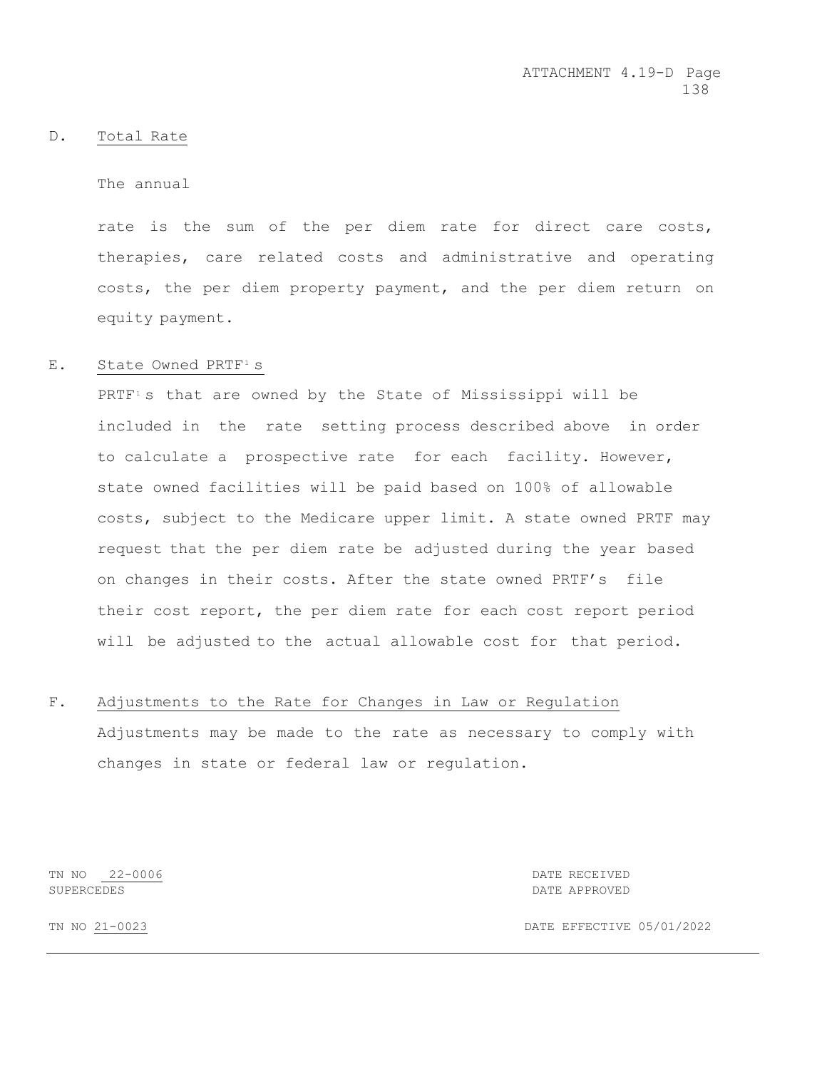#### D. Total Rate

The annual

rate is the sum of the per diem rate for direct care costs, therapies, care related costs and administrative and operating costs, the per diem property payment, and the per diem return on equity payment.

# E. State Owned PRTF<sup>1</sup> s

PRTF<sup>1</sup>s that are owned by the State of Mississippi will be included in the rate setting process described above in order to calculate a prospective rate for each facility. However, state owned facilities will be paid based on 100% of allowable costs, subject to the Medicare upper limit. A state owned PRTF may request that the per diem rate be adjusted during the year based on changes in their costs. After the state owned PRTF's file their cost report, the per diem rate for each cost report period will be adjusted to the actual allowable cost for that period.

# F. Adjustments to the Rate for Changes in Law or Regulation Adjustments may be made to the rate as necessary to comply with changes in state or federal law or regulation.

TN NO 22-0006 DATE RECEIVED SUPERCEDES DATE APPROVED

TN NO 21-0023 DATE EFFECTIVE 05/01/2022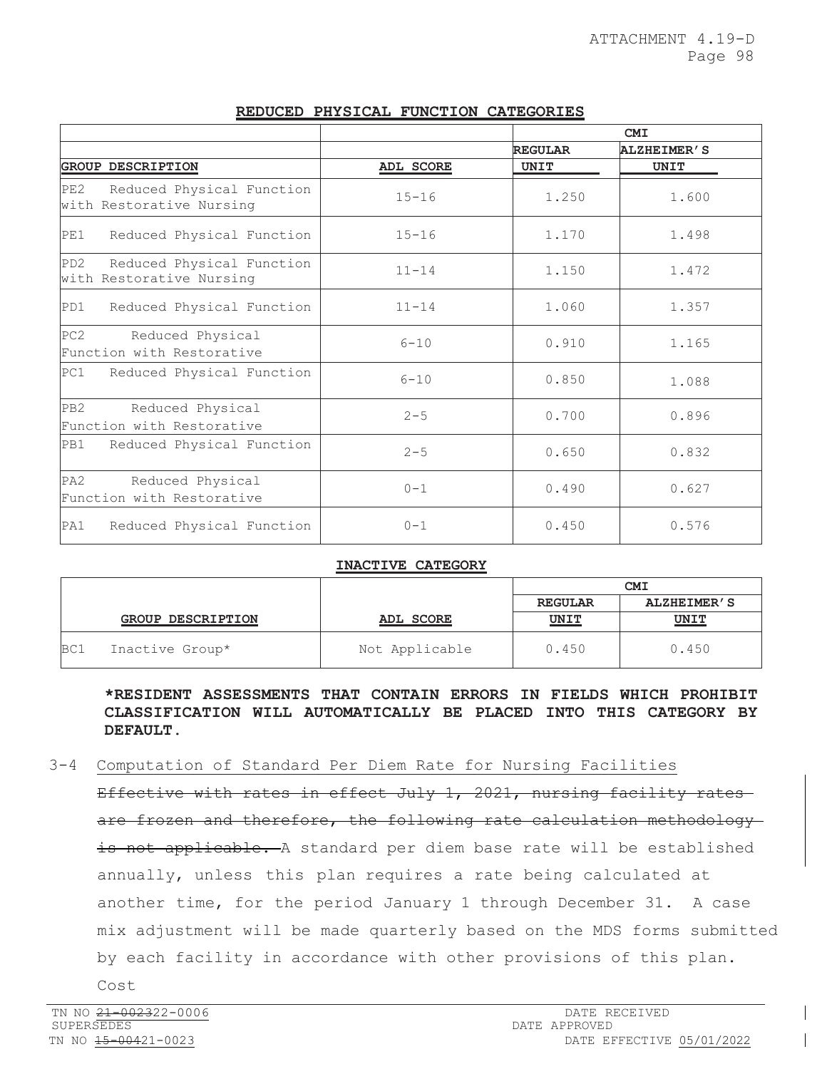|                                                                  |                  | <b>CMI</b>     |                    |
|------------------------------------------------------------------|------------------|----------------|--------------------|
|                                                                  |                  | <b>REGULAR</b> | <b>ALZHEIMER'S</b> |
| <b>GROUP DESCRIPTION</b>                                         | <b>ADL SCORE</b> | <b>UNIT</b>    | UNIT               |
| PE2<br>Reduced Physical Function<br>with Restorative Nursing     | $15 - 16$        | 1.250          | 1.600              |
| Reduced Physical Function<br>PE1                                 | $15 - 16$        | 1.170          | 1.498              |
| PD2<br>Reduced Physical Function<br>with Restorative Nursing     | $11 - 14$        | 1.150          | 1.472              |
| Reduced Physical Function<br>PD1                                 | $11 - 14$        | 1.060          | 1.357              |
| PC <sub>2</sub><br>Reduced Physical<br>Function with Restorative | $6 - 10$         | 0.910          | 1.165              |
| Reduced Physical Function<br>PC1                                 | $6 - 10$         | 0.850          | 1.088              |
| PB2<br>Reduced Physical<br>Function with Restorative             | $2 - 5$          | 0.700          | 0.896              |
| PB1<br>Reduced Physical Function                                 | $2 - 5$          | 0.650          | 0.832              |
| PA <sub>2</sub><br>Reduced Physical<br>Function with Restorative | $0 - 1$          | 0.490          | 0.627              |
| PA1<br>Reduced Physical Function                                 | $0 - 1$          | 0.450          | 0.576              |

# **REDUCED PHYSICAL FUNCTION CATEGORIES**

#### **INACTIVE CATEGORY**

|     |                          |                | <b>CMI</b>     |                    |
|-----|--------------------------|----------------|----------------|--------------------|
|     |                          |                | <b>REGULAR</b> | <b>ALZHEIMER'S</b> |
|     | <b>GROUP DESCRIPTION</b> | ADL SCORE      | <b>UNIT</b>    | <u>UNIT</u>        |
| BC1 | Inactive Group*          | Not Applicable | 0.450          | 0.450              |

**\*RESIDENT ASSESSMENTS THAT CONTAIN ERRORS IN FIELDS WHICH PROHIBIT CLASSIFICATION WILL AUTOMATICALLY BE PLACED INTO THIS CATEGORY BY DEFAULT.**

3-4 Computation of Standard Per Diem Rate for Nursing Facilities

Effective with rates in effect July 1, 2021, nursing facility rates are frozen and therefore, the following rate calculation methodology is not applicable. A standard per diem base rate will be established annually, unless this plan requires a rate being calculated at another time, for the period January 1 through December 31. A case mix adjustment will be made quarterly based on the MDS forms submitted by each facility in accordance with other provisions of this plan. Cost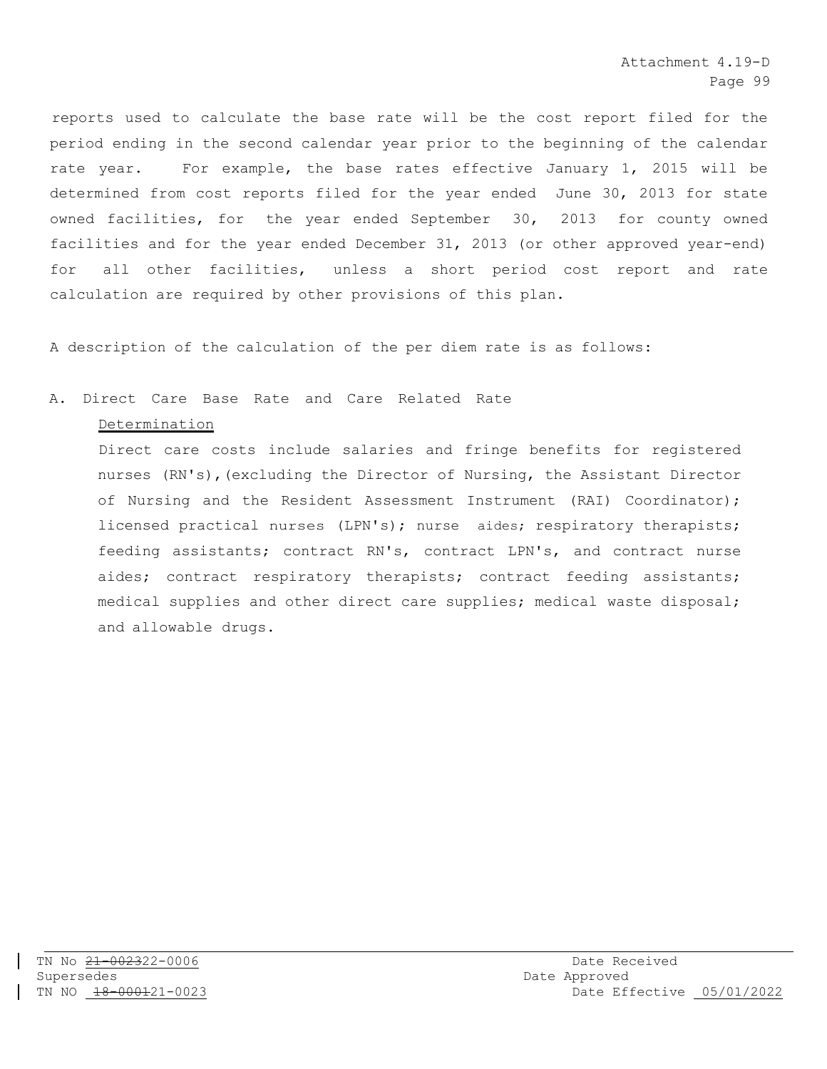reports used to calculate the base rate will be the cost report filed for the period ending in the second calendar year prior to the beginning of the calendar rate year. For example, the base rates effective January 1, 2015 will be determined from cost reports filed for the year ended June 30, 2013 for state owned facilities, for the year ended September 30, 2013 for county owned facilities and for the year ended December 31, 2013 (or other approved year-end) for all other facilities, unless a short period cost report and rate calculation are required by other provisions of this plan.

A description of the calculation of the per diem rate is as follows:

# A. Direct Care Base Rate and Care Related Rate

#### Determination

Direct care costs include salaries and fringe benefits for registered nurses (RN's),(excluding the Director of Nursing, the Assistant Director of Nursing and the Resident Assessment Instrument (RAI) Coordinator); licensed practical nurses (LPN's); nurse aides; respiratory therapists; feeding assistants; contract RN's, contract LPN's, and contract nurse aides; contract respiratory therapists; contract feeding assistants; medical supplies and other direct care supplies; medical waste disposal; and allowable drugs.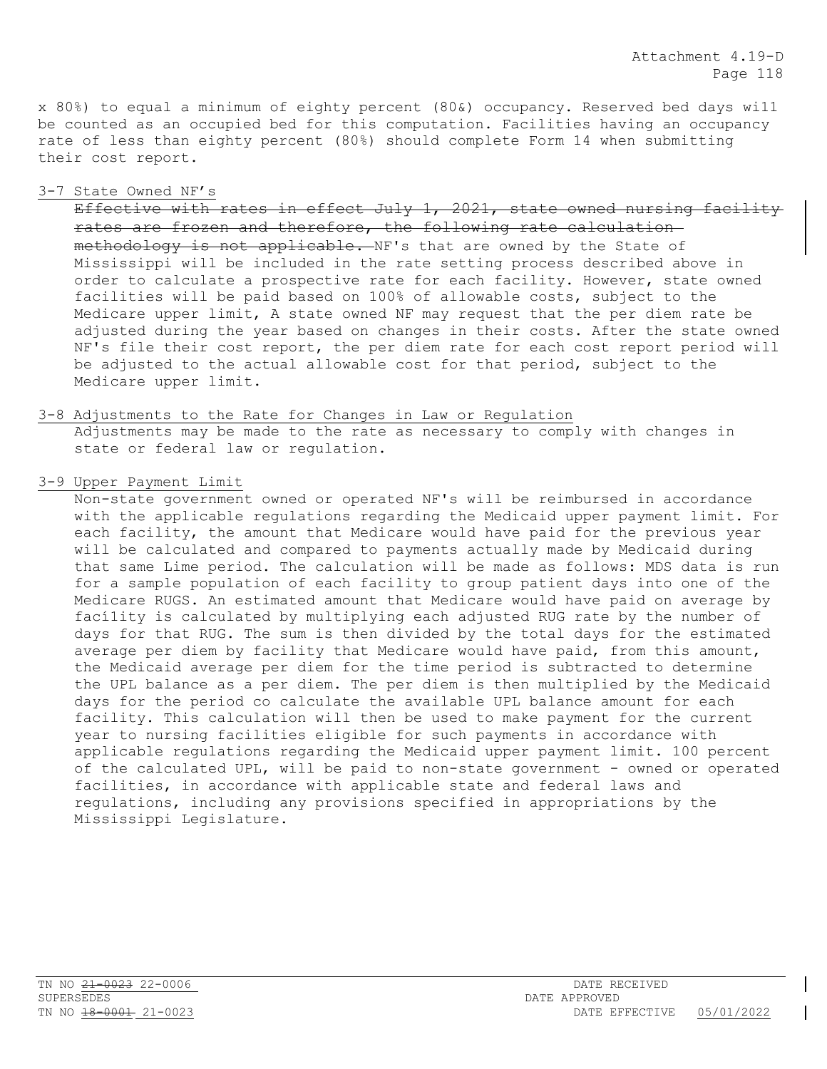x 80%) to equal a minimum of eighty percent (80&) occupancy. Reserved bed days wi11 be counted as an occupied bed for this computation. Facilities having an occupancy rate of less than eighty percent (80%) should complete Form 14 when submitting their cost report.

#### 3-7 State Owned NF's

Effective with rates in effect July 1, 2021, state owned nursing facility rates are frozen and therefore, the following rate calculation methodology is not applicable. NF's that are owned by the State of Mississippi will be included in the rate setting process described above in order to calculate a prospective rate for each facility. However, state owned facilities will be paid based on 100% of allowable costs, subject to the Medicare upper limit, A state owned NF may request that the per diem rate be adjusted during the year based on changes in their costs. After the state owned NF's file their cost report, the per diem rate for each cost report period will be adjusted to the actual allowable cost for that period, subject to the Medicare upper limit.

#### 3-8 Adjustments to the Rate for Changes in Law or Regulation

Adjustments may be made to the rate as necessary to comply with changes in state or federal law or regulation.

#### 3-9 Upper Payment Limit

Non-state government owned or operated NF's will be reimbursed in accordance with the applicable regulations regarding the Medicaid upper payment limit. For each facility, the amount that Medicare would have paid for the previous year will be calculated and compared to payments actually made by Medicaid during that same Lime period. The calculation will be made as follows: MDS data is run for a sample population of each facility to group patient days into one of the Medicare RUGS. An estimated amount that Medicare would have paid on average by fací1ity is calculated by multiplying each adjusted RUG rate by the number of days for that RUG. The sum is then divided by the total days for the estimated average per diem by facility that Medicare would have paid, from this amount, the Medicaid average per diem for the time period is subtracted to determine the UPL balance as a per diem. The per diem is then multiplied by the Medicaid days for the period co calculate the available UPL balance amount for each facility. This calculation will then be used to make payment for the current year to nursing facilities eligible for such payments in accordance with applicable regulations regarding the Medicaid upper payment limit. 100 percent of the calculated UPL, will be paid to non-state government - owned or operated facilities, in accordance with applicable state and federal laws and regulations, including any provisions specified in appropriations by the Mississippi Legislature.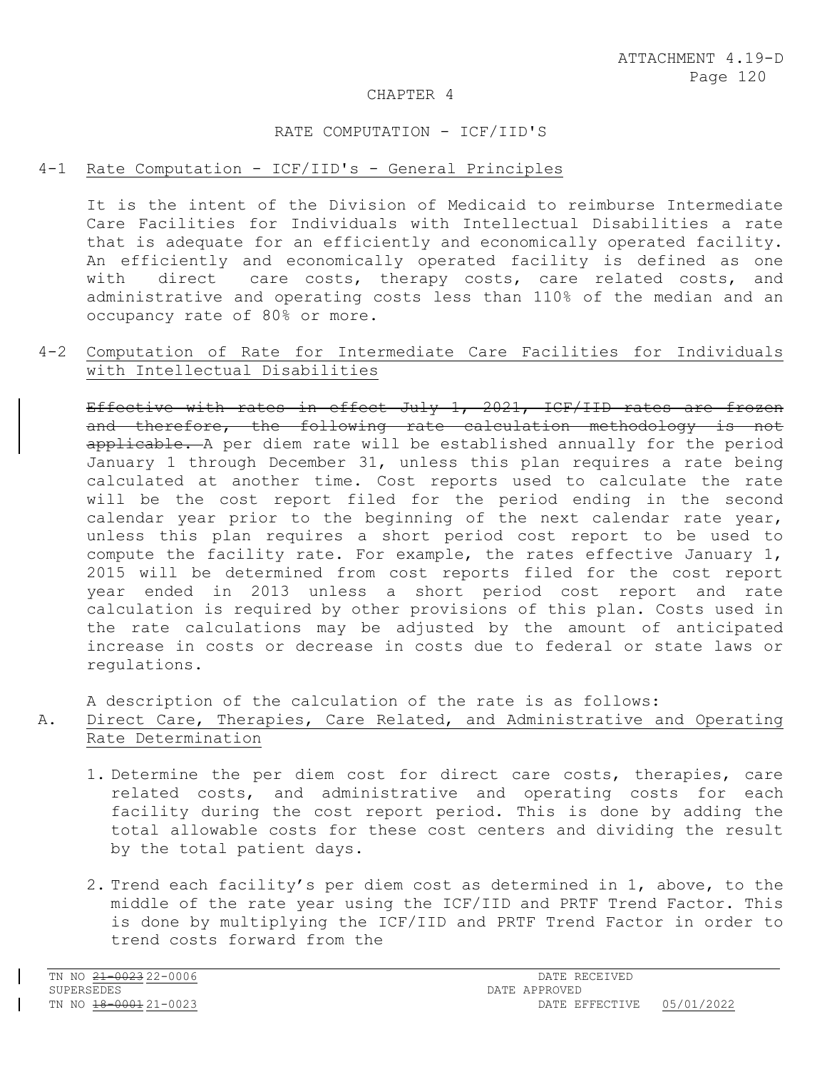#### CHAPTER 4

#### RATE COMPUTATION - ICF/IID'S

# 4-1 Rate Computation - ICF/IID's - General Principles

It is the intent of the Division of Medicaid to reimburse Intermediate Care Facilities for Individuals with Intellectual Disabilities a rate that is adequate for an efficiently and economically operated facility. An efficiently and economically operated facility is defined as one with direct care costs, therapy costs, care related costs, and administrative and operating costs less than 110% of the median and an occupancy rate of 80% or more.

# 4-2 Computation of Rate for Intermediate Care Facilities for Individuals with Intellectual Disabilities

Effective with rates in effect July 1, 2021, ICF/IID rates are frozen and therefore, the following rate calculation methodology is not applicable. A per diem rate will be established annually for the period January 1 through December 31, unless this plan requires a rate being calculated at another time. Cost reports used to calculate the rate will be the cost report filed for the period ending in the second calendar year prior to the beginning of the next calendar rate year, unless this plan requires a short period cost report to be used to compute the facility rate. For example, the rates effective January 1, 2015 will be determined from cost reports filed for the cost report year ended in 2013 unless a short period cost report and rate calculation is required by other provisions of this plan. Costs used in the rate calculations may be adjusted by the amount of anticipated increase in costs or decrease in costs due to federal or state laws or regulations.

A description of the calculation of the rate is as follows:

# A. Direct Care, Therapies, Care Related, and Administrative and Operating Rate Determination

- 1. Determine the per diem cost for direct care costs, therapies, care related costs, and administrative and operating costs for each facility during the cost report period. This is done by adding the total allowable costs for these cost centers and dividing the result by the total patient days.
- 2. Trend each facility's per diem cost as determined in 1, above, to the middle of the rate year using the ICF/IID and PRTF Trend Factor. This is done by multiplying the ICF/IID and PRTF Trend Factor in order to trend costs forward from the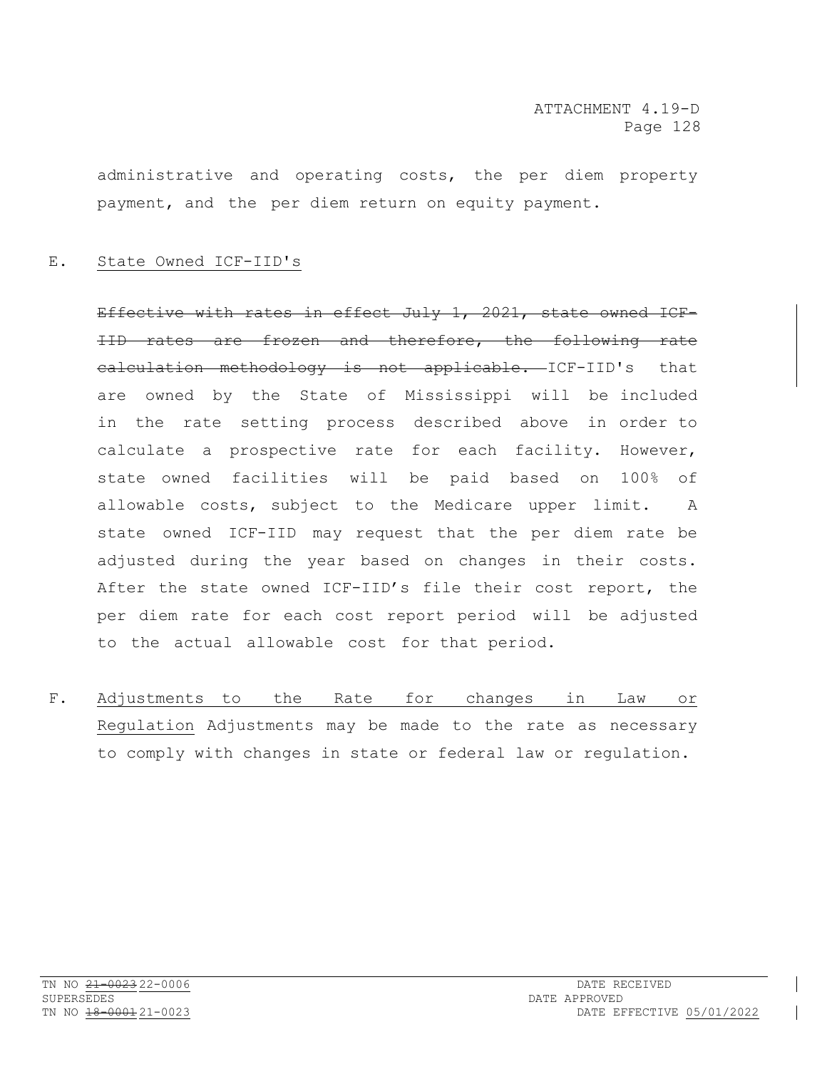administrative and operating costs, the per diem property payment, and the per diem return on equity payment.

## E. State Owned ICF-IID's

Effective with rates in effect July 1, 2021, state owned ICF-IID rates are frozen and therefore, the following rate calculation methodology is not applicable. ICF-IID's that are owned by the State of Mississippi will be included in the rate setting process described above in order to calculate a prospective rate for each facility. However, state owned facilities will be paid based on 100% of allowable costs, subject to the Medicare upper limit. A state owned ICF-IID may request that the per diem rate be adjusted during the year based on changes in their costs. After the state owned ICF-IID's file their cost report, the per diem rate for each cost report period will be adjusted to the actual allowable cost for that period.

F. Adjustments to the Rate for changes in Law or Regulation Adjustments may be made to the rate as necessary to comply with changes in state or federal law or regulation.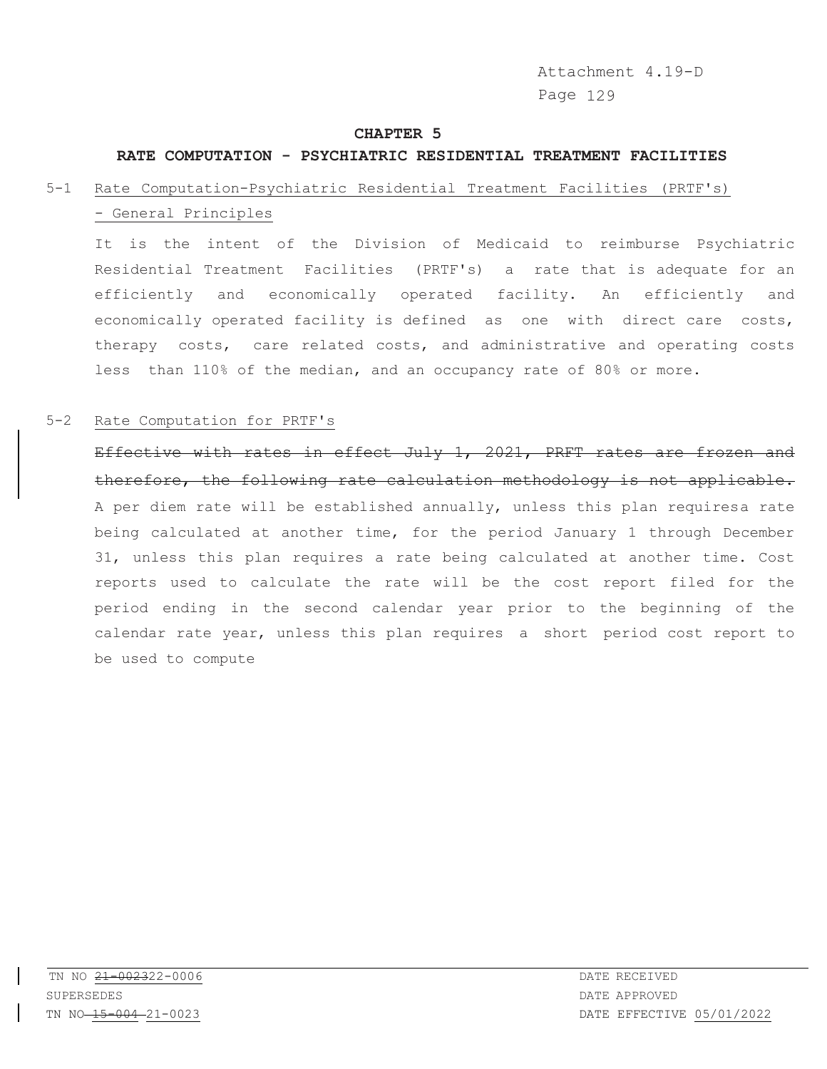Attachment 4.19-D Page 129

#### **CHAPTER 5**

#### **RATE COMPUTATION - PSYCHIATRIC RESIDENTIAL TREATMENT FACILITIES**

# 5-1 Rate Computation-Psychiatric Residential Treatment Facilities (PRTF's) - General Principles

It is the intent of the Division of Medicaid to reimburse Psychiatric Residential Treatment Facilities (PRTF's) a rate that is adequate for an efficiently and economically operated facility. An efficiently and economically operated facility is defined as one with direct care costs, therapy costs, care related costs, and administrative and operating costs less than 110% of the median, and an occupancy rate of 80% or more.

# 5-2 Rate Computation for PRTF's

Effective with rates in effect July 1, 2021, PRFT rates are frozen and therefore, the following rate calculation methodology is not applicable. A per diem rate will be established annually, unless this plan requiresa rate being calculated at another time, for the period January 1 through December 31, unless this plan requires a rate being calculated at another time. Cost reports used to calculate the rate will be the cost report filed for the period ending in the second calendar year prior to the beginning of the calendar rate year, unless this plan requires a short period cost report to be used to compute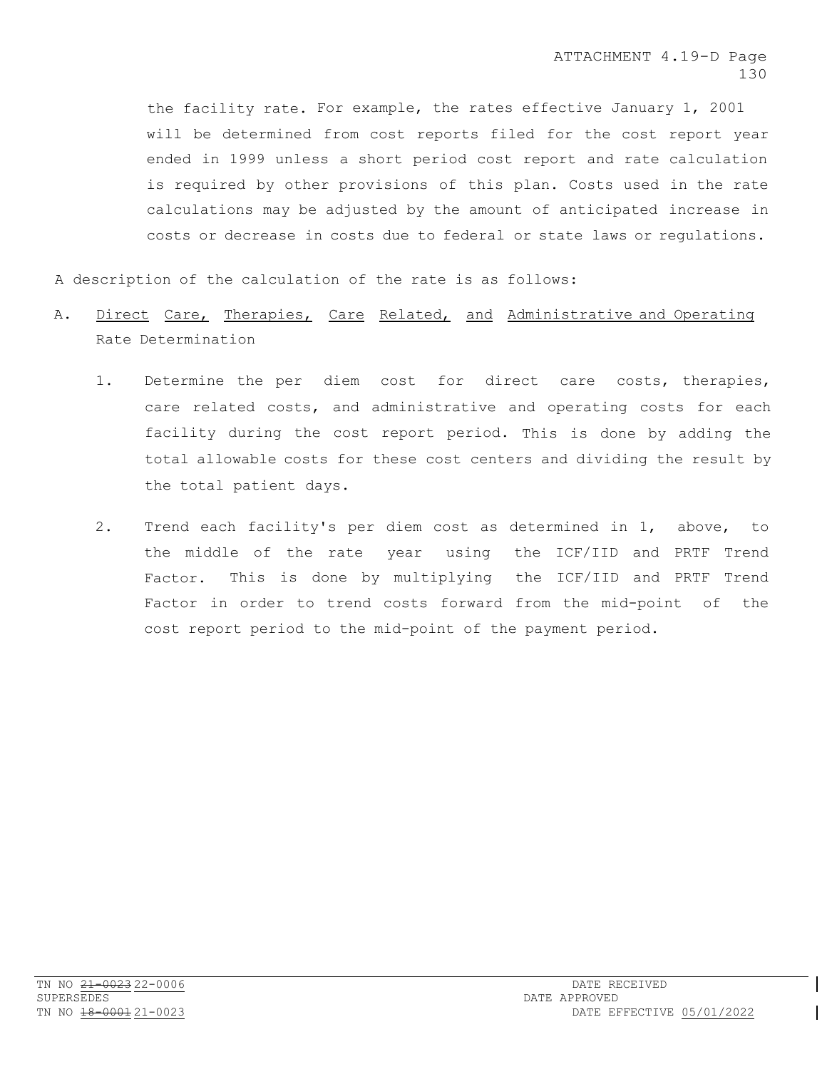the facility rate. For example, the rates effective January 1, 2001 will be determined from cost reports filed for the cost report year ended in 1999 unless a short period cost report and rate calculation is required by other provisions of this plan. Costs used in the rate calculations may be adjusted by the amount of anticipated increase in costs or decrease in costs due to federal or state laws or regulations.

A description of the calculation of the rate is as follows:

- A. Direct Care, Therapies, Care Related, and Administrative and Operating Rate Determination
	- 1. Determine the per diem cost for direct care costs, therapies, care related costs, and administrative and operating costs for each facility during the cost report period. This is done by adding the total allowable costs for these cost centers and dividing the result by the total patient days.
	- 2. Trend each facility's per diem cost as determined in 1, above, to the middle of the rate year using the ICF/IID and PRTF Trend Factor. This is done by multiplying the ICF/IID and PRTF Trend Factor in order to trend costs forward from the mid-point of the cost report period to the mid-point of the payment period.